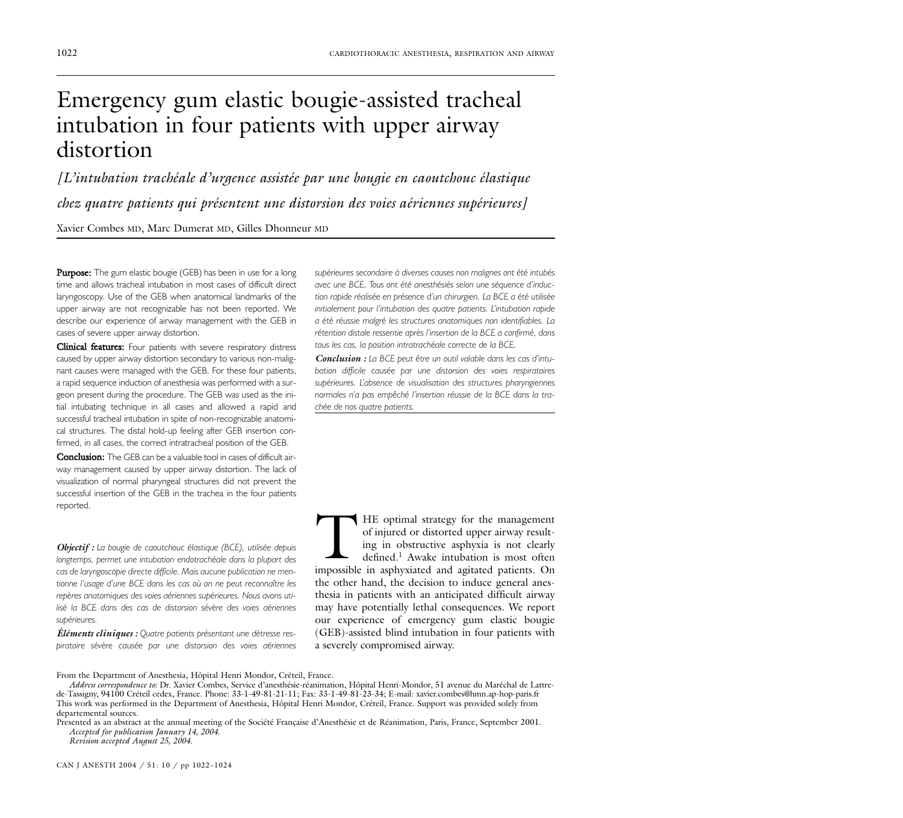# Emergency gum elastic bougie-assisted tracheal intubation in four patients with upper airway distortion

*[L'intubation trachéale d'urgence assistée par une bougie en caoutchouc élastique chez quatre patients qui présentent une distorsion des voies aériennes supérieures]*

Xavier Combes MD, Marc Dumerat MD, Gilles Dhonneur MD

Purpose: The gum elastic bougie (GEB) has been in use for a long time and allows tracheal intubation in most cases of difficult direct laryngoscopy. Use of the GEB when anatomical landmarks of the upper airway are not recognizable has not been reported. We describe our experience of airway management with the GEB in cases of severe upper airway distortion.

Clinical features: Four patients with severe respiratory distress caused by upper airway distortion secondary to various non-malignant causes were managed with the GEB. For these four patients, a rapid sequence induction of anesthesia was performed with a surgeon present during the procedure. The GEB was used as the initial intubating technique in all cases and allowed a rapid and successful tracheal intubation in spite of non-recognizable anatomical structures. The distal hold-up feeling after GEB insertion confirmed, in all cases, the correct intratracheal position of the GEB.

**Conclusion:** The GEB can be a valuable tool in cases of difficult airway management caused by upper airway distortion. The lack of visualization of normal pharyngeal structures did not prevent the successful insertion of the GEB in the trachea in the four patients reported.

*Objectif : La bougie de caoutchouc élastique (BCE), utilisée depuis longtemps, permet une intubation endotrachéale dans la plupart des cas de laryngoscopie directe difficile. Mais aucune publication ne mentionne l'usage d'une BCE dans les cas où on ne peut reconnaître les repères anatomiques des voies aériennes supérieures. Nous avons utilisé la BCE dans des cas de distorsion sévère des voies aériennes supérieures.*

*Éléments cliniques : Quatre patients présentant une détresse respiratoire sévère causée par une distorsion des voies aériennes* *supérieures secondaire à diverses causes non malignes ont été intubés avec une BCE. Tous ont été anesthésiés selon une séquence d'induction rapide réalisée en présence d'un chirurgien. La BCE a été utilisée initialement pour l'intubation des quatre patients. L'intubation rapide a été réussie malgré les structures anatomiques non identifiables. La rétention distale ressentie après l'insertion de la BCE a confirmé, dans tous les cas, la position intratrachéale correcte de la BCE.* 

*Conclusion : La BCE peut être un outil valable dans les cas d'intubation difficile causée par une distorsion des voies respiratoires supérieures. L'absence de visualisation des structures pharyngiennes normales n'a pas empêché l'insertion réussie de la BCE dans la trachée de nos quatre patients.*

HE optimal strategy for the management of injured or distorted upper airway resulting in obstructive asphyxia is not clearly defined.<sup>1</sup> Awake intubation is most often IE optimal strategy for the management<br>of injured or distorted upper airway result-<br>ing in obstructive asphyxia is not clearly<br>defined.<sup>1</sup> Awake intubation is most often<br>impossible in asphyxiated and agitated patients. On the other hand, the decision to induce general anesthesia in patients with an anticipated difficult airway may have potentially lethal consequences. We report our experience of emergency gum elastic bougie (GEB)-assisted blind intubation in four patients with a severely compromised airway.

From the Department of Anesthesia, Hôpital Henri Mondor, Créteil, France.

*Revision accepted August 25, 2004.*

*Address correspondence to:* Dr. Xavier Combes, Service d'anesthésie-réanimation, Hôpital Henri-Mondor, 51 avenue du Maréchal de Lattrede-Tassigny, 94100 Créteil cedex, France. Phone: 33-1-49-81-21-11; Fax: 33-1-49-81-23-34; E-mail: xavier.combes@hmn.ap-hop-paris.fr This work was performed in the Department of Anesthesia, Hôpital Henri Mondor, Créteil, France. Support was provided solely from departemental sources.

Presented as an abstract at the annual meeting of the Société Française d'Anesthésie et de Réanimation, Paris, France, September 2001. *Accepted for publication January 14, 2004.*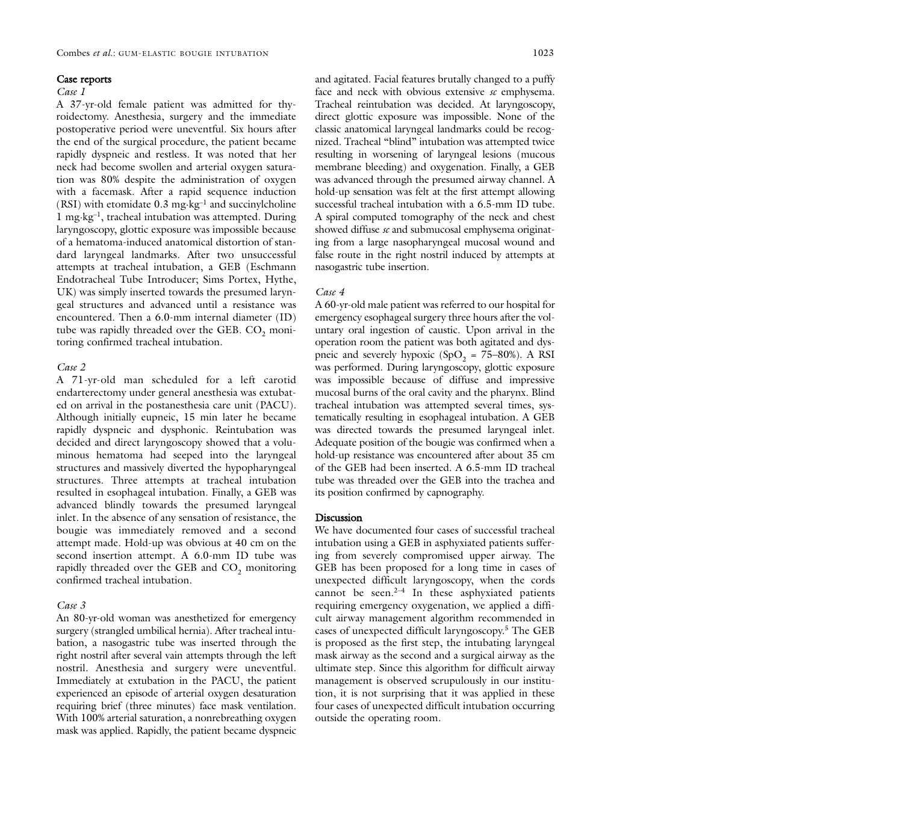#### Case reports

## *Case 1*

A 37-yr-old female patient was admitted for thyroidectomy. Anesthesia, surgery and the immediate postoperative period were uneventful. Six hours after the end of the surgical procedure, the patient became rapidly dyspneic and restless. It was noted that her neck had become swollen and arterial oxygen saturation was 80% despite the administration of oxygen with a facemask. After a rapid sequence induction (RSI) with etomidate  $0.3 \text{ mg} \cdot \text{kg}^{-1}$  and succinylcholine 1 mg·kg–1, tracheal intubation was attempted. During laryngoscopy, glottic exposure was impossible because of a hematoma-induced anatomical distortion of standard laryngeal landmarks. After two unsuccessful attempts at tracheal intubation, a GEB (Eschmann Endotracheal Tube Introducer; Sims Portex, Hythe, UK) was simply inserted towards the presumed laryngeal structures and advanced until a resistance was encountered. Then a 6.0-mm internal diameter (ID) tube was rapidly threaded over the GEB.  $CO<sub>2</sub>$  monitoring confirmed tracheal intubation.

### *Case 2*

A 71-yr-old man scheduled for a left carotid endarterectomy under general anesthesia was extubated on arrival in the postanesthesia care unit (PACU). Although initially eupneic, 15 min later he became rapidly dyspneic and dysphonic. Reintubation was decided and direct laryngoscopy showed that a voluminous hematoma had seeped into the laryngeal structures and massively diverted the hypopharyngeal structures. Three attempts at tracheal intubation resulted in esophageal intubation. Finally, a GEB was advanced blindly towards the presumed laryngeal inlet. In the absence of any sensation of resistance, the bougie was immediately removed and a second attempt made. Hold-up was obvious at 40 cm on the second insertion attempt. A 6.0-mm ID tube was rapidly threaded over the GEB and  $CO<sub>2</sub>$  monitoring confirmed tracheal intubation.

## *Case 3*

An 80-yr-old woman was anesthetized for emergency surgery (strangled umbilical hernia). After tracheal intubation, a nasogastric tube was inserted through the right nostril after several vain attempts through the left nostril. Anesthesia and surgery were uneventful. Immediately at extubation in the PACU, the patient experienced an episode of arterial oxygen desaturation requiring brief (three minutes) face mask ventilation. With 100% arterial saturation, a nonrebreathing oxygen mask was applied. Rapidly, the patient became dyspneic and agitated. Facial features brutally changed to a puffy face and neck with obvious extensive *sc* emphysema. Tracheal reintubation was decided. At laryngoscopy, direct glottic exposure was impossible. None of the classic anatomical laryngeal landmarks could be recognized. Tracheal "blind" intubation was attempted twice resulting in worsening of laryngeal lesions (mucous membrane bleeding) and oxygenation. Finally, a GEB was advanced through the presumed airway channel. A hold-up sensation was felt at the first attempt allowing successful tracheal intubation with a 6.5-mm ID tube. A spiral computed tomography of the neck and chest showed diffuse *sc* and submucosal emphysema originating from a large nasopharyngeal mucosal wound and false route in the right nostril induced by attempts at nasogastric tube insertion.

#### *Case 4*

A 60-yr-old male patient was referred to our hospital for emergency esophageal surgery three hours after the voluntary oral ingestion of caustic. Upon arrival in the operation room the patient was both agitated and dyspneic and severely hypoxic (SpO<sub>2</sub> = 75–80%). A RSI was performed. During laryngoscopy, glottic exposure was impossible because of diffuse and impressive mucosal burns of the oral cavity and the pharynx. Blind tracheal intubation was attempted several times, systematically resulting in esophageal intubation. A GEB was directed towards the presumed laryngeal inlet. Adequate position of the bougie was confirmed when a hold-up resistance was encountered after about 35 cm of the GEB had been inserted. A 6.5-mm ID tracheal tube was threaded over the GEB into the trachea and its position confirmed by capnography.

## **Discussion**

We have documented four cases of successful tracheal intubation using a GEB in asphyxiated patients suffering from severely compromised upper airway. The GEB has been proposed for a long time in cases of unexpected difficult laryngoscopy, when the cords cannot be seen. $2-4$  In these asphyxiated patients requiring emergency oxygenation, we applied a difficult airway management algorithm recommended in cases of unexpected difficult laryngoscopy.5 The GEB is proposed as the first step, the intubating laryngeal mask airway as the second and a surgical airway as the ultimate step. Since this algorithm for difficult airway management is observed scrupulously in our institution, it is not surprising that it was applied in these four cases of unexpected difficult intubation occurring outside the operating room.